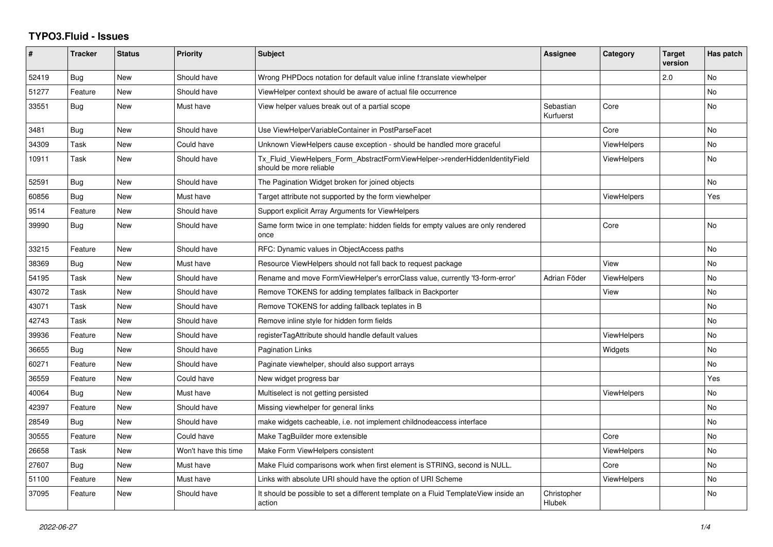## **TYPO3.Fluid - Issues**

| #     | <b>Tracker</b> | <b>Status</b> | <b>Priority</b>      | <b>Subject</b>                                                                                         | Assignee               | Category           | <b>Target</b><br>version | Has patch |
|-------|----------------|---------------|----------------------|--------------------------------------------------------------------------------------------------------|------------------------|--------------------|--------------------------|-----------|
| 52419 | Bug            | New           | Should have          | Wrong PHPDocs notation for default value inline f:translate viewhelper                                 |                        |                    | 2.0                      | No        |
| 51277 | Feature        | New           | Should have          | ViewHelper context should be aware of actual file occurrence                                           |                        |                    |                          | <b>No</b> |
| 33551 | <b>Bug</b>     | New           | Must have            | View helper values break out of a partial scope                                                        | Sebastian<br>Kurfuerst | Core               |                          | <b>No</b> |
| 3481  | Bug            | New           | Should have          | Use ViewHelperVariableContainer in PostParseFacet                                                      |                        | Core               |                          | No        |
| 34309 | Task           | New           | Could have           | Unknown ViewHelpers cause exception - should be handled more graceful                                  |                        | <b>ViewHelpers</b> |                          | <b>No</b> |
| 10911 | Task           | New           | Should have          | Tx_Fluid_ViewHelpers_Form_AbstractFormViewHelper->renderHiddenIdentityField<br>should be more reliable |                        | ViewHelpers        |                          | <b>No</b> |
| 52591 | <b>Bug</b>     | New           | Should have          | The Pagination Widget broken for joined objects                                                        |                        |                    |                          | No        |
| 60856 | <b>Bug</b>     | New           | Must have            | Target attribute not supported by the form viewhelper                                                  |                        | <b>ViewHelpers</b> |                          | Yes       |
| 9514  | Feature        | New           | Should have          | Support explicit Array Arguments for ViewHelpers                                                       |                        |                    |                          |           |
| 39990 | Bug            | New           | Should have          | Same form twice in one template: hidden fields for empty values are only rendered<br>once              |                        | Core               |                          | <b>No</b> |
| 33215 | Feature        | <b>New</b>    | Should have          | RFC: Dynamic values in ObjectAccess paths                                                              |                        |                    |                          | <b>No</b> |
| 38369 | Bug            | New           | Must have            | Resource ViewHelpers should not fall back to request package                                           |                        | View               |                          | <b>No</b> |
| 54195 | Task           | <b>New</b>    | Should have          | Rename and move FormViewHelper's errorClass value, currently 'f3-form-error'                           | Adrian Föder           | <b>ViewHelpers</b> |                          | No        |
| 43072 | Task           | <b>New</b>    | Should have          | Remove TOKENS for adding templates fallback in Backporter                                              |                        | View               |                          | <b>No</b> |
| 43071 | Task           | New           | Should have          | Remove TOKENS for adding fallback teplates in B                                                        |                        |                    |                          | No        |
| 42743 | Task           | <b>New</b>    | Should have          | Remove inline style for hidden form fields                                                             |                        |                    |                          | No        |
| 39936 | Feature        | <b>New</b>    | Should have          | registerTagAttribute should handle default values                                                      |                        | <b>ViewHelpers</b> |                          | <b>No</b> |
| 36655 | Bug            | New           | Should have          | <b>Pagination Links</b>                                                                                |                        | Widgets            |                          | No        |
| 60271 | Feature        | <b>New</b>    | Should have          | Paginate viewhelper, should also support arrays                                                        |                        |                    |                          | <b>No</b> |
| 36559 | Feature        | <b>New</b>    | Could have           | New widget progress bar                                                                                |                        |                    |                          | Yes       |
| 40064 | Bug            | New           | Must have            | Multiselect is not getting persisted                                                                   |                        | <b>ViewHelpers</b> |                          | No        |
| 42397 | Feature        | <b>New</b>    | Should have          | Missing viewhelper for general links                                                                   |                        |                    |                          | <b>No</b> |
| 28549 | Bug            | New           | Should have          | make widgets cacheable, i.e. not implement childnodeaccess interface                                   |                        |                    |                          | No        |
| 30555 | Feature        | New           | Could have           | Make TagBuilder more extensible                                                                        |                        | Core               |                          | <b>No</b> |
| 26658 | Task           | <b>New</b>    | Won't have this time | Make Form ViewHelpers consistent                                                                       |                        | <b>ViewHelpers</b> |                          | <b>No</b> |
| 27607 | <b>Bug</b>     | New           | Must have            | Make Fluid comparisons work when first element is STRING, second is NULL.                              |                        | Core               |                          | No        |
| 51100 | Feature        | New           | Must have            | Links with absolute URI should have the option of URI Scheme                                           |                        | <b>ViewHelpers</b> |                          | <b>No</b> |
| 37095 | Feature        | New           | Should have          | It should be possible to set a different template on a Fluid TemplateView inside an<br>action          | Christopher<br>Hlubek  |                    |                          | <b>No</b> |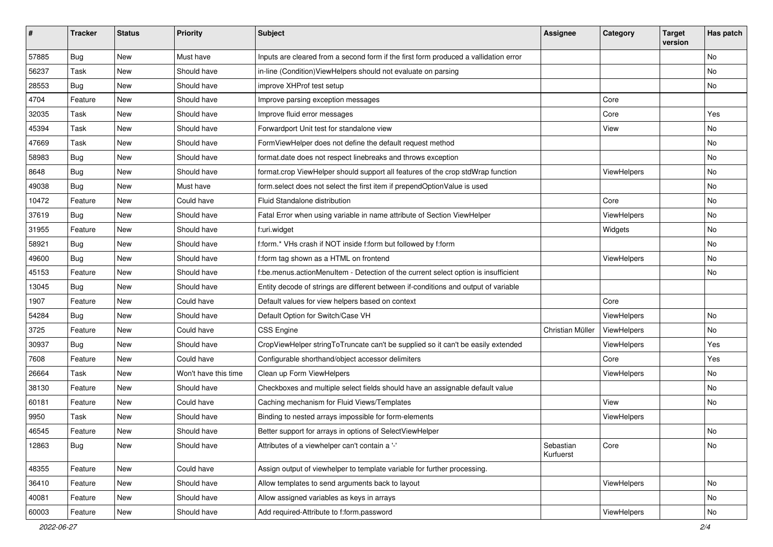| $\sharp$ | <b>Tracker</b> | <b>Status</b> | <b>Priority</b>      | Subject                                                                              | <b>Assignee</b>        | Category    | <b>Target</b><br>version | Has patch |
|----------|----------------|---------------|----------------------|--------------------------------------------------------------------------------------|------------------------|-------------|--------------------------|-----------|
| 57885    | Bug            | New           | Must have            | Inputs are cleared from a second form if the first form produced a vallidation error |                        |             |                          | <b>No</b> |
| 56237    | Task           | New           | Should have          | in-line (Condition) View Helpers should not evaluate on parsing                      |                        |             |                          | No        |
| 28553    | Bug            | New           | Should have          | improve XHProf test setup                                                            |                        |             |                          | No        |
| 4704     | Feature        | New           | Should have          | Improve parsing exception messages                                                   |                        | Core        |                          |           |
| 32035    | Task           | New           | Should have          | Improve fluid error messages                                                         |                        | Core        |                          | Yes       |
| 45394    | Task           | New           | Should have          | Forwardport Unit test for standalone view                                            |                        | View        |                          | No        |
| 47669    | Task           | New           | Should have          | FormViewHelper does not define the default request method                            |                        |             |                          | No        |
| 58983    | Bug            | New           | Should have          | format.date does not respect linebreaks and throws exception                         |                        |             |                          | No        |
| 8648     | Bug            | New           | Should have          | format.crop ViewHelper should support all features of the crop stdWrap function      |                        | ViewHelpers |                          | No        |
| 49038    | Bug            | New           | Must have            | form.select does not select the first item if prependOptionValue is used             |                        |             |                          | No        |
| 10472    | Feature        | New           | Could have           | Fluid Standalone distribution                                                        |                        | Core        |                          | No        |
| 37619    | Bug            | New           | Should have          | Fatal Error when using variable in name attribute of Section ViewHelper              |                        | ViewHelpers |                          | No        |
| 31955    | Feature        | New           | Should have          | f:uri.widget                                                                         |                        | Widgets     |                          | No        |
| 58921    | Bug            | New           | Should have          | f:form.* VHs crash if NOT inside f:form but followed by f:form                       |                        |             |                          | No        |
| 49600    | Bug            | New           | Should have          | f:form tag shown as a HTML on frontend                                               |                        | ViewHelpers |                          | No        |
| 45153    | Feature        | New           | Should have          | f:be.menus.actionMenuItem - Detection of the current select option is insufficient   |                        |             |                          | No        |
| 13045    | Bug            | New           | Should have          | Entity decode of strings are different between if-conditions and output of variable  |                        |             |                          |           |
| 1907     | Feature        | New           | Could have           | Default values for view helpers based on context                                     |                        | Core        |                          |           |
| 54284    | Bug            | New           | Should have          | Default Option for Switch/Case VH                                                    |                        | ViewHelpers |                          | <b>No</b> |
| 3725     | Feature        | New           | Could have           | <b>CSS Engine</b>                                                                    | Christian Müller       | ViewHelpers |                          | No        |
| 30937    | Bug            | New           | Should have          | CropViewHelper stringToTruncate can't be supplied so it can't be easily extended     |                        | ViewHelpers |                          | Yes       |
| 7608     | Feature        | New           | Could have           | Configurable shorthand/object accessor delimiters                                    |                        | Core        |                          | Yes       |
| 26664    | Task           | New           | Won't have this time | Clean up Form ViewHelpers                                                            |                        | ViewHelpers |                          | No        |
| 38130    | Feature        | New           | Should have          | Checkboxes and multiple select fields should have an assignable default value        |                        |             |                          | No        |
| 60181    | Feature        | New           | Could have           | Caching mechanism for Fluid Views/Templates                                          |                        | View        |                          | No        |
| 9950     | Task           | New           | Should have          | Binding to nested arrays impossible for form-elements                                |                        | ViewHelpers |                          |           |
| 46545    | Feature        | New           | Should have          | Better support for arrays in options of SelectViewHelper                             |                        |             |                          | No        |
| 12863    | <b>Bug</b>     | New           | Should have          | Attributes of a viewhelper can't contain a '-'                                       | Sebastian<br>Kurfuerst | Core        |                          | No        |
| 48355    | Feature        | New           | Could have           | Assign output of viewhelper to template variable for further processing.             |                        |             |                          |           |
| 36410    | Feature        | New           | Should have          | Allow templates to send arguments back to layout                                     |                        | ViewHelpers |                          | No        |
| 40081    | Feature        | New           | Should have          | Allow assigned variables as keys in arrays                                           |                        |             |                          | No        |
| 60003    | Feature        | New           | Should have          | Add required-Attribute to f:form.password                                            |                        | ViewHelpers |                          | No        |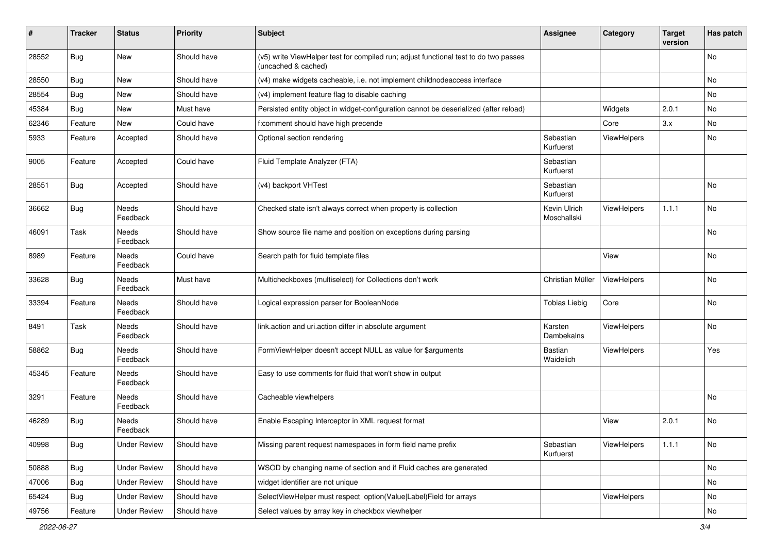| #     | <b>Tracker</b> | <b>Status</b>       | <b>Priority</b> | Subject                                                                                                     | <b>Assignee</b>             | Category    | <b>Target</b><br>version | Has patch |
|-------|----------------|---------------------|-----------------|-------------------------------------------------------------------------------------------------------------|-----------------------------|-------------|--------------------------|-----------|
| 28552 | Bug            | New                 | Should have     | (v5) write ViewHelper test for compiled run; adjust functional test to do two passes<br>(uncached & cached) |                             |             |                          | No        |
| 28550 | Bug            | New                 | Should have     | (v4) make widgets cacheable, i.e. not implement childnodeaccess interface                                   |                             |             |                          | No        |
| 28554 | Bug            | New                 | Should have     | (v4) implement feature flag to disable caching                                                              |                             |             |                          | No        |
| 45384 | Bug            | New                 | Must have       | Persisted entity object in widget-configuration cannot be deserialized (after reload)                       |                             | Widgets     | 2.0.1                    | No        |
| 62346 | Feature        | New                 | Could have      | f:comment should have high precende                                                                         |                             | Core        | 3.x                      | <b>No</b> |
| 5933  | Feature        | Accepted            | Should have     | Optional section rendering                                                                                  | Sebastian<br>Kurfuerst      | ViewHelpers |                          | No        |
| 9005  | Feature        | Accepted            | Could have      | Fluid Template Analyzer (FTA)                                                                               | Sebastian<br>Kurfuerst      |             |                          |           |
| 28551 | Bug            | Accepted            | Should have     | (v4) backport VHTest                                                                                        | Sebastian<br>Kurfuerst      |             |                          | <b>No</b> |
| 36662 | Bug            | Needs<br>Feedback   | Should have     | Checked state isn't always correct when property is collection                                              | Kevin Ulrich<br>Moschallski | ViewHelpers | 1.1.1                    | <b>No</b> |
| 46091 | Task           | Needs<br>Feedback   | Should have     | Show source file name and position on exceptions during parsing                                             |                             |             |                          | <b>No</b> |
| 8989  | Feature        | Needs<br>Feedback   | Could have      | Search path for fluid template files                                                                        |                             | View        |                          | No        |
| 33628 | Bug            | Needs<br>Feedback   | Must have       | Multicheckboxes (multiselect) for Collections don't work                                                    | Christian Müller            | ViewHelpers |                          | No        |
| 33394 | Feature        | Needs<br>Feedback   | Should have     | Logical expression parser for BooleanNode                                                                   | <b>Tobias Liebig</b>        | Core        |                          | No        |
| 8491  | Task           | Needs<br>Feedback   | Should have     | link.action and uri.action differ in absolute argument                                                      | Karsten<br>Dambekalns       | ViewHelpers |                          | No        |
| 58862 | Bug            | Needs<br>Feedback   | Should have     | FormViewHelper doesn't accept NULL as value for \$arguments                                                 | <b>Bastian</b><br>Waidelich | ViewHelpers |                          | Yes       |
| 45345 | Feature        | Needs<br>Feedback   | Should have     | Easy to use comments for fluid that won't show in output                                                    |                             |             |                          |           |
| 3291  | Feature        | Needs<br>Feedback   | Should have     | Cacheable viewhelpers                                                                                       |                             |             |                          | No        |
| 46289 | Bug            | Needs<br>Feedback   | Should have     | Enable Escaping Interceptor in XML request format                                                           |                             | View        | 2.0.1                    | No        |
| 40998 | <b>Bug</b>     | <b>Under Review</b> | Should have     | Missing parent request namespaces in form field name prefix                                                 | Sebastian<br>Kurfuerst      | ViewHelpers | 1.1.1                    | No        |
| 50888 | <b>Bug</b>     | <b>Under Review</b> | Should have     | WSOD by changing name of section and if Fluid caches are generated                                          |                             |             |                          | No        |
| 47006 | Bug            | <b>Under Review</b> | Should have     | widget identifier are not unique                                                                            |                             |             |                          | No        |
| 65424 | Bug            | <b>Under Review</b> | Should have     | SelectViewHelper must respect option(Value Label)Field for arrays                                           |                             | ViewHelpers |                          | No        |
| 49756 | Feature        | <b>Under Review</b> | Should have     | Select values by array key in checkbox viewhelper                                                           |                             |             |                          | No        |